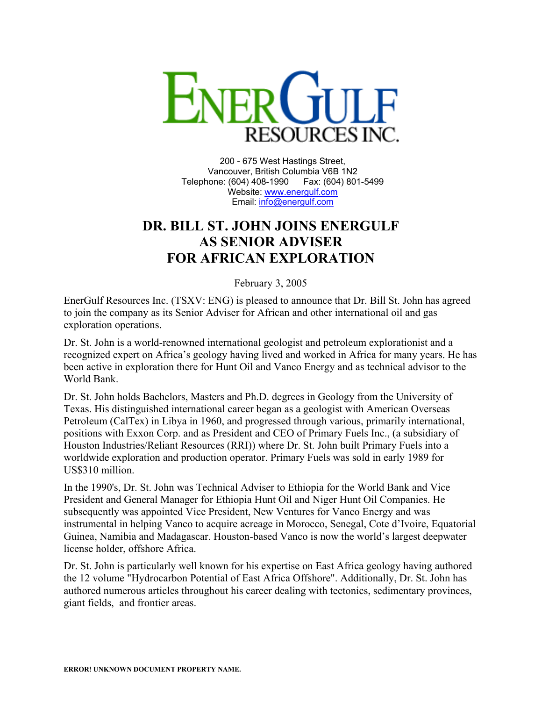

200 - 675 West Hastings Street, Vancouver, British Columbia V6B 1N2 Telephone: (604) 408-1990 Fax: (604) 801-5499 Website: [www.energulf.com](http://www.energulf.com/) Email: [info@energulf.com](mailto:info@energulf.com)

## **DR. BILL ST. JOHN JOINS ENERGULF AS SENIOR ADVISER FOR AFRICAN EXPLORATION**

February 3, 2005

EnerGulf Resources Inc. (TSXV: ENG) is pleased to announce that Dr. Bill St. John has agreed to join the company as its Senior Adviser for African and other international oil and gas exploration operations.

Dr. St. John is a world-renowned international geologist and petroleum explorationist and a recognized expert on Africa's geology having lived and worked in Africa for many years. He has been active in exploration there for Hunt Oil and Vanco Energy and as technical advisor to the World Bank.

Dr. St. John holds Bachelors, Masters and Ph.D. degrees in Geology from the University of Texas. His distinguished international career began as a geologist with American Overseas Petroleum (CalTex) in Libya in 1960, and progressed through various, primarily international, positions with Exxon Corp. and as President and CEO of Primary Fuels Inc., (a subsidiary of Houston Industries/Reliant Resources (RRI)) where Dr. St. John built Primary Fuels into a worldwide exploration and production operator. Primary Fuels was sold in early 1989 for US\$310 million.

In the 1990's, Dr. St. John was Technical Adviser to Ethiopia for the World Bank and Vice President and General Manager for Ethiopia Hunt Oil and Niger Hunt Oil Companies. He subsequently was appointed Vice President, New Ventures for Vanco Energy and was instrumental in helping Vanco to acquire acreage in Morocco, Senegal, Cote d'Ivoire, Equatorial Guinea, Namibia and Madagascar. Houston-based Vanco is now the world's largest deepwater license holder, offshore Africa.

Dr. St. John is particularly well known for his expertise on East Africa geology having authored the 12 volume "Hydrocarbon Potential of East Africa Offshore". Additionally, Dr. St. John has authored numerous articles throughout his career dealing with tectonics, sedimentary provinces, giant fields, and frontier areas.